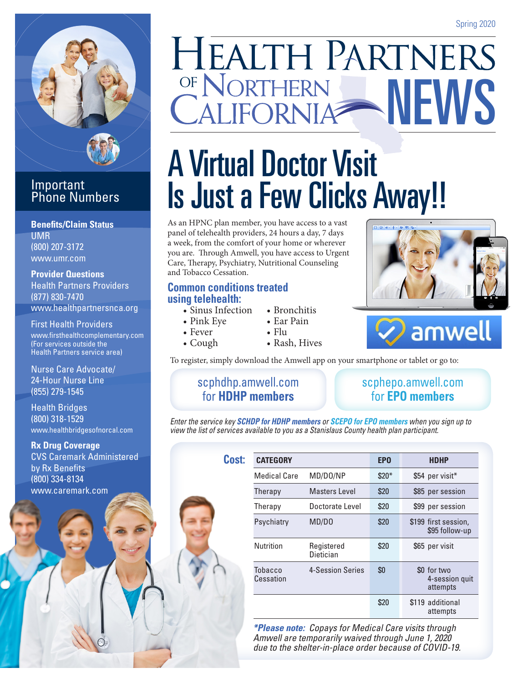

### **Important** Phone Numbers

**Benefits/Claim Status** UMR (800) 207-3172 www.umr.com

**Provider Questions** Health Partners Providers (877) 830-7470 www.healthpartnersnca.org

First Health Providers www.firsthealthcomplementary.com (For services outside the Health Partners service area)

Nurse Care Advocate/ 24-Hour Nurse Line (855) 279-1545

Health Bridges (800) 318-1529 www.healthbridgesofnorcal.com

**Rx Drug Coverage** CVS Caremark Administered by Rx Benefits (800) 334-8134 www.caremark.com

# **HEALTH PARTNERS** OF NORTHERN NEWS

## A Virtual Doctor Visit Is Just a Few Clicks Away!!

As an HPNC plan member, you have access to a vast panel of telehealth providers, 24 hours a day, 7 days a week, from the comfort of your home or wherever you are. Through Amwell, you have access to Urgent Care, Therapy, Psychiatry, Nutritional Counseling and Tobacco Cessation.

### **Common conditions treated using telehealth:**

- Sinus Infection
- Pink Eye
- Fever
- Cough
- Ear Pain

• Bronchitis

- Flu
- 
- Rash, Hives



To register, simply download the Amwell app on your smartphone or tablet or go to:

### [scphdhp.amwell.com](scphdhp.amwell.com 
)  for **HDHP members**

### [scphepo.amwell.com](scphepo.amwell.com 
)  for **EPO members**

*Enter the service key SCHDP for HDHP members or SCEPO for EPO members when you sign up to view the list of services available to you as a Stanislaus County health plan participant.*

| Cost: |                      |                         |            |                                           |
|-------|----------------------|-------------------------|------------|-------------------------------------------|
|       | <b>CATEGORY</b>      |                         | <b>EPO</b> | <b>HDHP</b>                               |
|       | <b>Medical Care</b>  | MD/D0/NP                | $$20*$     | \$54 per visit*                           |
|       | Therapy              | <b>Masters Level</b>    | \$20       | \$85 per session                          |
|       | Therapy              | Doctorate Level         | \$20       | \$99 per session                          |
|       | Psychiatry           | MD/DO                   | \$20       | \$199 first session.<br>\$95 follow-up    |
|       | <b>Nutrition</b>     | Registered<br>Dietician | \$20       | \$65 per visit                            |
|       | Tobacco<br>Cessation | 4-Session Series        | \$0        | \$0 for two<br>4-session quit<br>attempts |
|       |                      |                         | \$20       | \$119 additional<br>attempts              |

*\*Please note: Copays for Medical Care visits through Amwell are temporarily waived through June 1, 2020 due to the shelter-in-place order because of COVID-19.*